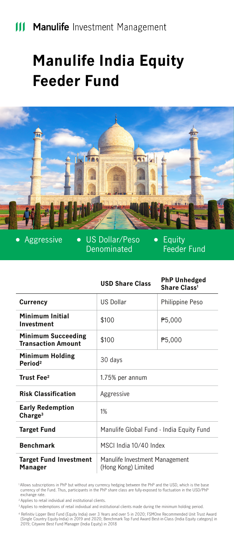## **III Manulife** Investment Management

# **Manulife India Equity Feeder Fund**



 $\bullet$ 

Aggressive . US Dollar/Peso Denominated

Equity Feeder Fund

 $\bullet$ 

|                                                        | <b>USD Share Class</b>                                | <b>PhP Unhedged</b><br>Share Class <sup>1</sup> |
|--------------------------------------------------------|-------------------------------------------------------|-------------------------------------------------|
| Currency                                               | <b>US Dollar</b>                                      | Philippine Peso                                 |
| Minimum Initial<br>Investment                          | \$100                                                 | P <sub>5</sub> ,000                             |
| <b>Minimum Succeeding</b><br><b>Transaction Amount</b> | \$100                                                 | P5,000                                          |
| <b>Minimum Holding</b><br>Period <sup>2</sup>          | 30 days                                               |                                                 |
| Trust Fee <sup>2</sup>                                 | 1.75% per annum                                       |                                                 |
| <b>Risk Classification</b>                             | Aggressive                                            |                                                 |
| <b>Early Redemption</b><br>Change <sup>3</sup>         | 1%                                                    |                                                 |
| <b>Target Fund</b>                                     | Manulife Global Fund - India Equity Fund              |                                                 |
| <b>Benchmark</b>                                       | MSCI India 10/40 Index                                |                                                 |
| <b>Target Fund Investment</b><br>Manager               | Manulife Investment Management<br>(Hong Kong) Limited |                                                 |

 1 Allows subscriptions in PhP but without any currency hedging between the PhP and the USD, which is the base currency of the Fund. Thus, participants in the PhP share class are fully-exposed to fluctuation in the USD/PhP exchange rate

2 Applies to retail individual and institutional clients.

<sup>3</sup> Applies to redemptions of retail individual and institutional clients made during the minimum holding period.

f Refinitiv Lipper Best Fund (Equity India) over 3 Years and over 5 in 2020; FSMOne Recommended Unit Trust Award<br>(Single Country Equity-India) in 2019 and 2020; Benchmark Top Fund Award Best-in-Class (India Equity category